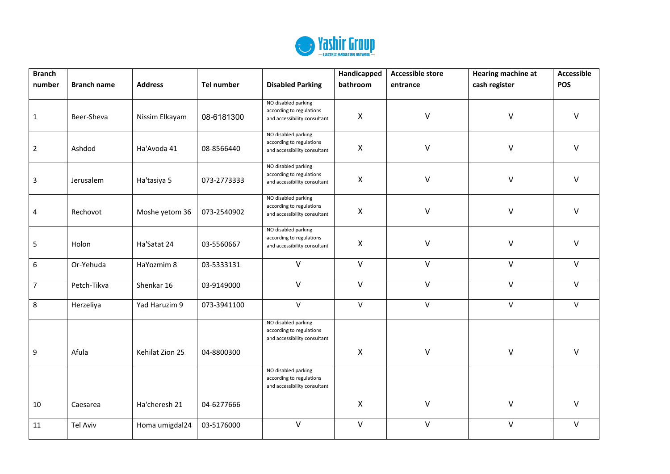

| <b>Branch</b>           |                    |                 |             |                                                                                 | Handicapped  | <b>Accessible store</b> | <b>Hearing machine at</b> | <b>Accessible</b> |
|-------------------------|--------------------|-----------------|-------------|---------------------------------------------------------------------------------|--------------|-------------------------|---------------------------|-------------------|
| number                  | <b>Branch name</b> | <b>Address</b>  | Tel number  | <b>Disabled Parking</b>                                                         | bathroom     | entrance                | cash register             | <b>POS</b>        |
| $\mathbf{1}$            | Beer-Sheva         | Nissim Elkayam  | 08-6181300  | NO disabled parking<br>according to regulations<br>and accessibility consultant | X            | $\vee$                  | V                         | $\vee$            |
| $\overline{2}$          | Ashdod             | Ha'Avoda 41     | 08-8566440  | NO disabled parking<br>according to regulations<br>and accessibility consultant | X            | V                       | V                         | $\vee$            |
| $\mathbf{3}$            | Jerusalem          | Ha'tasiya 5     | 073-2773333 | NO disabled parking<br>according to regulations<br>and accessibility consultant | X            | $\vee$                  | $\mathsf{V}$              | $\vee$            |
| $\overline{\mathbf{4}}$ | Rechovot           | Moshe yetom 36  | 073-2540902 | NO disabled parking<br>according to regulations<br>and accessibility consultant | Χ            | $\vee$                  | $\mathsf{V}$              | $\vee$            |
| 5                       | Holon              | Ha'Satat 24     | 03-5560667  | NO disabled parking<br>according to regulations<br>and accessibility consultant | X            | V                       | V                         | $\mathsf{V}$      |
| 6                       | Or-Yehuda          | HaYozmim 8      | 03-5333131  | $\vee$                                                                          | $\vee$       | $\vee$                  | $\vee$                    | $\vee$            |
| $\overline{7}$          | Petch-Tikva        | Shenkar 16      | 03-9149000  | $\vee$                                                                          | $\vee$       | $\vee$                  | $\vee$                    | $\vee$            |
| 8                       | Herzeliya          | Yad Haruzim 9   | 073-3941100 | $\vee$                                                                          | $\mathsf{V}$ | $\vee$                  | $\mathsf{V}$              | $\mathsf{V}$      |
|                         |                    |                 |             | NO disabled parking<br>according to regulations<br>and accessibility consultant |              |                         |                           |                   |
| 9                       | Afula              | Kehilat Zion 25 | 04-8800300  |                                                                                 | $\mathsf{X}$ | $\vee$                  | $\sf V$                   | $\vee$            |
|                         |                    |                 |             | NO disabled parking<br>according to regulations<br>and accessibility consultant |              |                         |                           |                   |
| 10                      | Caesarea           | Ha'cheresh 21   | 04-6277666  |                                                                                 | X            | V                       | $\sf V$                   | $\vee$            |
| $11\,$                  | <b>Tel Aviv</b>    | Homa umigdal24  | 03-5176000  | $\vee$                                                                          | $\vee$       | $\vee$                  | $\vee$                    | $\vee$            |